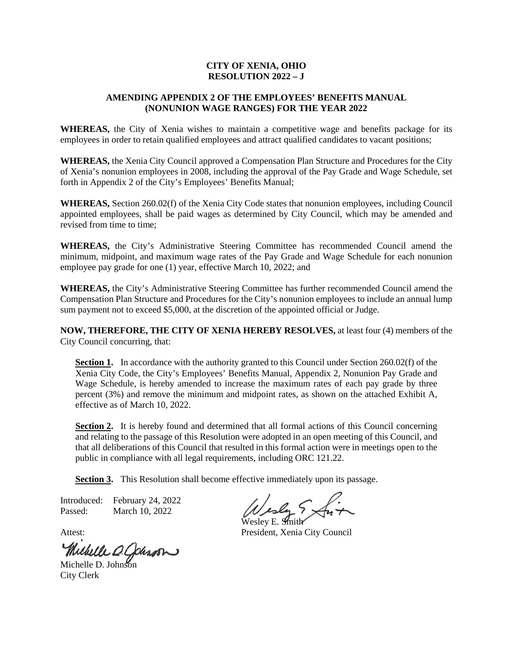## **CITY OF XENIA, OHIO RESOLUTION 2022 – J**

## **AMENDING APPENDIX 2 OF THE EMPLOYEES' BENEFITS MANUAL (NONUNION WAGE RANGES) FOR THE YEAR 2022**

**WHEREAS,** the City of Xenia wishes to maintain a competitive wage and benefits package for its employees in order to retain qualified employees and attract qualified candidates to vacant positions;

**WHEREAS,** the Xenia City Council approved a Compensation Plan Structure and Procedures for the City of Xenia's nonunion employees in 2008, including the approval of the Pay Grade and Wage Schedule, set forth in Appendix 2 of the City's Employees' Benefits Manual;

**WHEREAS,** Section 260.02(f) of the Xenia City Code states that nonunion employees, including Council appointed employees, shall be paid wages as determined by City Council, which may be amended and revised from time to time;

**WHEREAS,** the City's Administrative Steering Committee has recommended Council amend the minimum, midpoint, and maximum wage rates of the Pay Grade and Wage Schedule for each nonunion employee pay grade for one (1) year, effective March 10, 2022; and

**WHEREAS,** the City's Administrative Steering Committee has further recommended Council amend the Compensation Plan Structure and Procedures for the City's nonunion employees to include an annual lump sum payment not to exceed \$5,000, at the discretion of the appointed official or Judge.

**NOW, THEREFORE, THE CITY OF XENIA HEREBY RESOLVES,** at least four (4) members of the City Council concurring, that:

**Section 1.** In accordance with the authority granted to this Council under Section 260.02(f) of the Xenia City Code, the City's Employees' Benefits Manual, Appendix 2, Nonunion Pay Grade and Wage Schedule, is hereby amended to increase the maximum rates of each pay grade by three percent (3%) and remove the minimum and midpoint rates, as shown on the attached Exhibit A, effective as of March 10, 2022.

**Section 2.** It is hereby found and determined that all formal actions of this Council concerning and relating to the passage of this Resolution were adopted in an open meeting of this Council, and that all deliberations of this Council that resulted in this formal action were in meetings open to the public in compliance with all legal requirements, including ORC 121.22.

**Section 3.** This Resolution shall become effective immediately upon its passage.

Introduced: February 24, 2022 Passed: March 10, 2022

Michelle O. Johnson

City Clerk

Wesley E. Smith

Attest: President, Xenia City Council